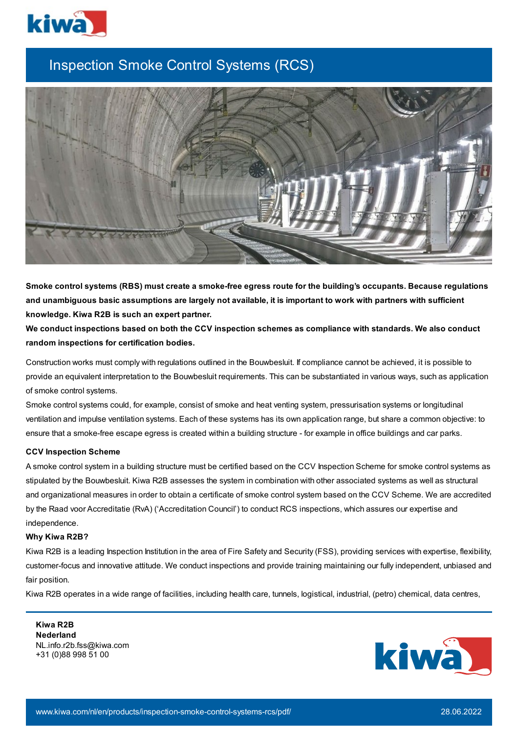

## Inspection Smoke Control Systems (RCS)



Smoke control systems (RBS) must create a smoke-free egress route for the building's occupants. Because regulations and unambiguous basic assumptions are largely not available, it is important to work with partners with sufficient **knowledge. Kiwa R2B is such an expert partner.**

We conduct inspections based on both the CCV inspection schemes as compliance with standards. We also conduct **random inspections for certification bodies.**

Construction works must comply with regulations outlined in the Bouwbesluit. If compliance cannot be achieved, it is possible to provide an equivalent interpretation to the Bouwbesluit requirements. This can be substantiated in various ways, such as application of smoke control systems.

Smoke control systems could, for example, consist of smoke and heat venting system, pressurisation systems or longitudinal ventilation and impulse ventilation systems. Each of these systems has its own application range, but share a common objective: to ensure that a smoke-free escape egress is created within a building structure - for example in office buildings and car parks.

## **CCV Inspection Scheme**

A smoke control system in a building structure must be certified based on the CCV Inspection Scheme for smoke control systems as stipulated by the Bouwbesluit. Kiwa R2B assesses the system in combination with other associated systems as well as structural and organizational measures in order to obtain a certificate of smoke control system based on the CCV Scheme. We are accredited by the Raad voor Accreditatie (RvA) ('Accreditation Council') to conduct RCS inspections, which assures our expertise and independence.

## **Why Kiwa R2B?**

Kiwa R2B is a leading Inspection Institution in the area of Fire Safety and Security (FSS), providing services with expertise, flexibility, customer-focus and innovative attitude. We conduct inspections and provide training maintaining our fully independent, unbiased and fair position.

Kiwa R2B operates in a wide range of facilities, including health care, tunnels, logistical, industrial, (petro) chemical, data centres,

**Kiwa R2B Nederland** NL.info.r2b.fss@kiwa.com +31 (0)88 998 51 00